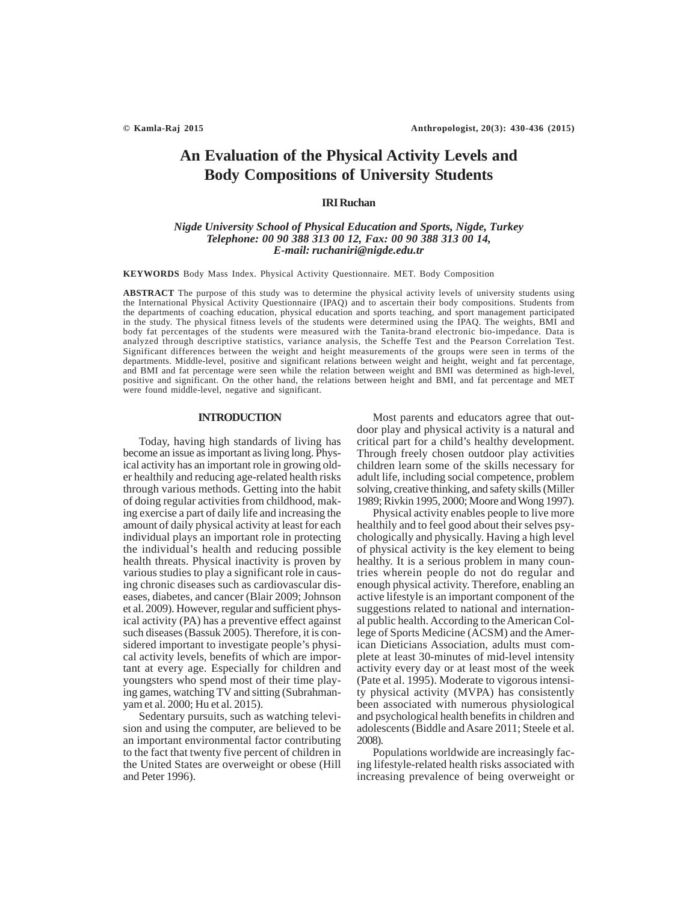# **An Evaluation of the Physical Activity Levels and Body Compositions of University Students**

# **IRI Ruchan**

# *Nigde University School of Physical Education and Sports, Nigde, Turkey Telephone: 00 90 388 313 00 12, Fax: 00 90 388 313 00 14, E-mail: ruchaniri@nigde.edu.tr*

**KEYWORDS** Body Mass Index. Physical Activity Questionnaire. MET. Body Composition

**ABSTRACT** The purpose of this study was to determine the physical activity levels of university students using the International Physical Activity Questionnaire (IPAQ) and to ascertain their body compositions. Students from the departments of coaching education, physical education and sports teaching, and sport management participated in the study. The physical fitness levels of the students were determined using the IPAQ. The weights, BMI and body fat percentages of the students were measured with the Tanita-brand electronic bio-impedance. Data is analyzed through descriptive statistics, variance analysis, the Scheffe Test and the Pearson Correlation Test. Significant differences between the weight and height measurements of the groups were seen in terms of the departments. Middle-level, positive and significant relations between weight and height, weight and fat percentage, and BMI and fat percentage were seen while the relation between weight and BMI was determined as high-level, positive and significant. On the other hand, the relations between height and BMI, and fat percentage and MET were found middle-level, negative and significant.

#### **INTRODUCTION**

Today, having high standards of living has become an issue as important as living long. Physical activity has an important role in growing older healthily and reducing age-related health risks through various methods. Getting into the habit of doing regular activities from childhood, making exercise a part of daily life and increasing the amount of daily physical activity at least for each individual plays an important role in protecting the individual's health and reducing possible health threats. Physical inactivity is proven by various studies to play a significant role in causing chronic diseases such as cardiovascular diseases, diabetes, and cancer (Blair 2009; Johnson et al. 2009). However, regular and sufficient physical activity (PA) has a preventive effect against such diseases (Bassuk 2005). Therefore, it is considered important to investigate people's physical activity levels, benefits of which are important at every age. Especially for children and youngsters who spend most of their time playing games, watching TV and sitting (Subrahmanyam et al. 2000; Hu et al. 2015).

Sedentary pursuits, such as watching television and using the computer, are believed to be an important environmental factor contributing to the fact that twenty five percent of children in the United States are overweight or obese (Hill and Peter 1996).

Most parents and educators agree that outdoor play and physical activity is a natural and critical part for a child's healthy development. Through freely chosen outdoor play activities children learn some of the skills necessary for adult life, including social competence, problem solving, creative thinking, and safety skills (Miller 1989; Rivkin 1995, 2000; Moore and Wong 1997).

Physical activity enables people to live more healthily and to feel good about their selves psychologically and physically. Having a high level of physical activity is the key element to being healthy. It is a serious problem in many countries wherein people do not do regular and enough physical activity. Therefore, enabling an active lifestyle is an important component of the suggestions related to national and international public health. According to the American College of Sports Medicine (ACSM) and the American Dieticians Association, adults must complete at least 30-minutes of mid-level intensity activity every day or at least most of the week (Pate et al. 1995). Moderate to vigorous intensity physical activity (MVPA) has consistently been associated with numerous physiological and psychological health benefits in children and adolescents (Biddle and Asare 2011; Steele et al. 2008).

Populations worldwide are increasingly facing lifestyle-related health risks associated with increasing prevalence of being overweight or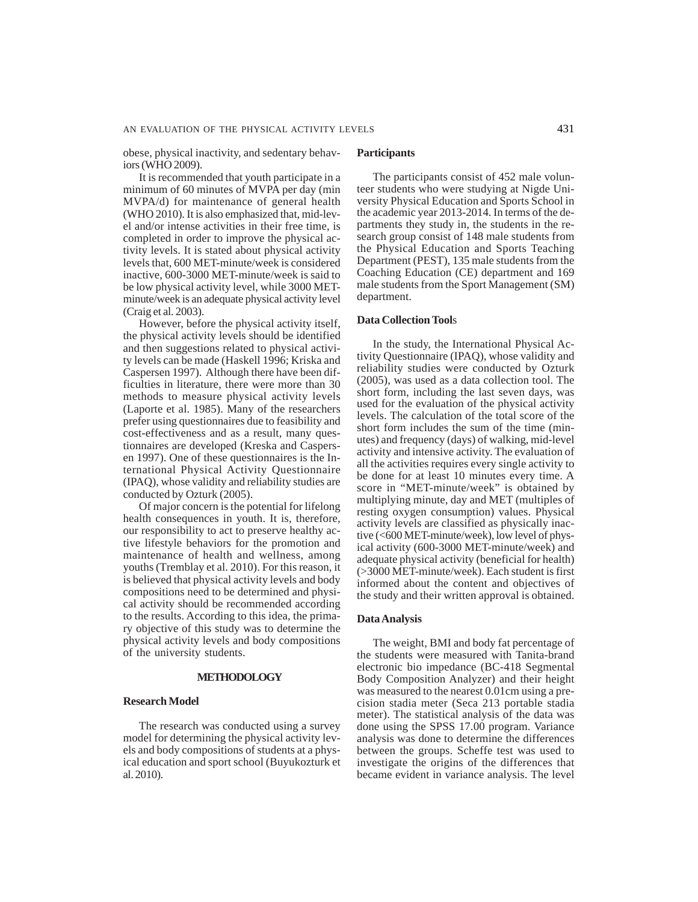obese, physical inactivity, and sedentary behaviors (WHO 2009).

#### **Participants**

It is recommended that youth participate in a minimum of 60 minutes of MVPA per day (min MVPA/d) for maintenance of general health (WHO 2010). It is also emphasized that, mid-level and/or intense activities in their free time, is completed in order to improve the physical activity levels. It is stated about physical activity levels that, 600 MET-minute/week is considered inactive, 600-3000 MET-minute/week is said to be low physical activity level, while 3000 METminute/week is an adequate physical activity level (Craig et al. 2003).

However, before the physical activity itself, the physical activity levels should be identified and then suggestions related to physical activity levels can be made (Haskell 1996; Kriska and Caspersen 1997). Although there have been difficulties in literature, there were more than 30 methods to measure physical activity levels (Laporte et al. 1985). Many of the researchers prefer using questionnaires due to feasibility and cost-effectiveness and as a result, many questionnaires are developed (Kreska and Caspersen 1997). One of these questionnaires is the International Physical Activity Questionnaire (IPAQ), whose validity and reliability studies are conducted by Ozturk (2005).

Of major concern is the potential for lifelong health consequences in youth. It is, therefore, our responsibility to act to preserve healthy active lifestyle behaviors for the promotion and maintenance of health and wellness, among youths (Tremblay et al. 2010). For this reason, it is believed that physical activity levels and body compositions need to be determined and physical activity should be recommended according to the results. According to this idea, the primary objective of this study was to determine the physical activity levels and body compositions of the university students.

# **METHODOLOGY**

# **Research Model**

The research was conducted using a survey model for determining the physical activity levels and body compositions of students at a physical education and sport school (Buyukozturk et al. 2010).

The participants consist of 452 male volunteer students who were studying at Nigde University Physical Education and Sports School in the academic year 2013-2014. In terms of the departments they study in, the students in the research group consist of 148 male students from the Physical Education and Sports Teaching Department (PEST), 135 male students from the Coaching Education (CE) department and 169 male students from the Sport Management (SM) department.

### **Data Collection Tool**s

In the study, the International Physical Activity Questionnaire (IPAQ), whose validity and reliability studies were conducted by Ozturk (2005), was used as a data collection tool. The short form, including the last seven days, was used for the evaluation of the physical activity levels. The calculation of the total score of the short form includes the sum of the time (minutes) and frequency (days) of walking, mid-level activity and intensive activity. The evaluation of all the activities requires every single activity to be done for at least 10 minutes every time. A score in "MET-minute/week" is obtained by multiplying minute, day and MET (multiples of resting oxygen consumption) values. Physical activity levels are classified as physically inactive (<600 MET-minute/week), low level of physical activity (600-3000 MET-minute/week) and adequate physical activity (beneficial for health) (>3000 MET-minute/week). Each student is first informed about the content and objectives of the study and their written approval is obtained.

#### **Data Analysis**

The weight, BMI and body fat percentage of the students were measured with Tanita-brand electronic bio impedance (BC-418 Segmental Body Composition Analyzer) and their height was measured to the nearest 0.01cm using a precision stadia meter (Seca 213 portable stadia meter). The statistical analysis of the data was done using the SPSS 17.00 program. Variance analysis was done to determine the differences between the groups. Scheffe test was used to investigate the origins of the differences that became evident in variance analysis. The level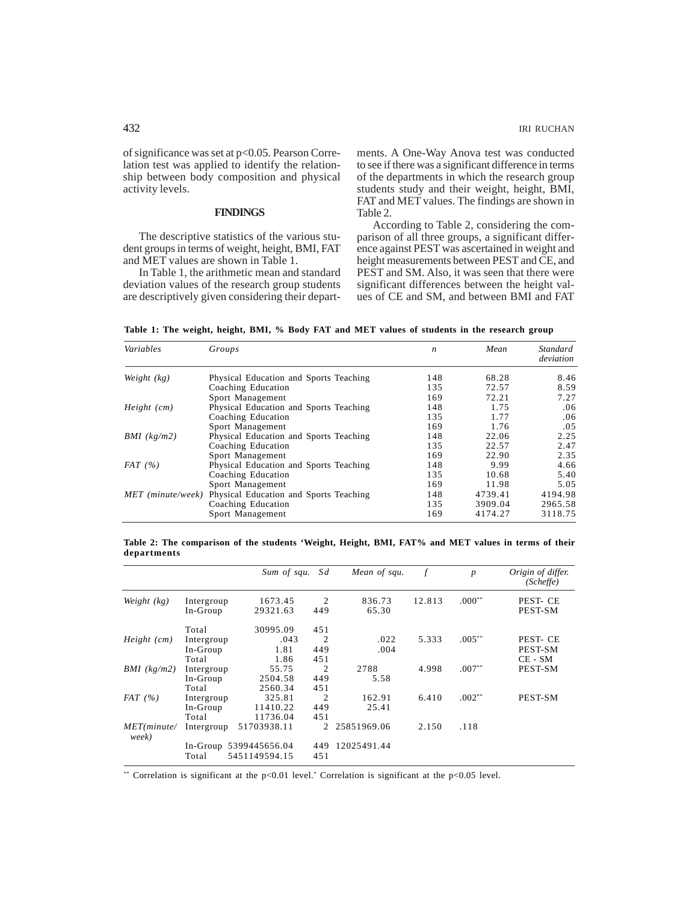of significance was set at p<0.05. Pearson Correlation test was applied to identify the relationship between body composition and physical activity levels.

## **FINDINGS**

The descriptive statistics of the various student groups in terms of weight, height, BMI, FAT and MET values are shown in Table 1.

In Table 1, the arithmetic mean and standard deviation values of the research group students are descriptively given considering their departments. A One-Way Anova test was conducted to see if there was a significant difference in terms of the departments in which the research group students study and their weight, height, BMI, FAT and MET values. The findings are shown in Table 2.

According to Table 2, considering the comparison of all three groups, a significant difference against PEST was ascertained in weight and height measurements between PEST and CE, and PEST and SM. Also, it was seen that there were significant differences between the height values of CE and SM, and between BMI and FAT

**Table 1: The weight, height, BMI, % Body FAT and MET values of students in the research group**

| Variables     | Groups                                                   | $\boldsymbol{n}$                                                                      | Mean                                                                                                 | Standard<br>deviation |
|---------------|----------------------------------------------------------|---------------------------------------------------------------------------------------|------------------------------------------------------------------------------------------------------|-----------------------|
| Weight $(kg)$ | Physical Education and Sports Teaching                   | 148                                                                                   | 68.28<br>72.57<br>72.21<br>1.75<br>1.77<br>1.76<br>22.06<br>22.57<br>22.90<br>9.99<br>10.68<br>11.98 | 8.46                  |
|               | Coaching Education                                       | 135                                                                                   |                                                                                                      | 8.59                  |
|               | Sport Management                                         | 169                                                                                   |                                                                                                      | 7.27                  |
| Height (cm)   | Physical Education and Sports Teaching                   | 148                                                                                   |                                                                                                      | .06                   |
|               | Coaching Education                                       | 135                                                                                   |                                                                                                      | .06                   |
|               | Sport Management                                         | 169                                                                                   |                                                                                                      | .05                   |
| BMI (kg/m2)   | Physical Education and Sports Teaching                   | 148                                                                                   |                                                                                                      | 2.25                  |
|               | Coaching Education                                       | 135<br>169<br>148<br>135<br>169<br>4739.41<br>148<br>3909.04<br>135<br>4174.27<br>169 | 2.47                                                                                                 |                       |
|               | Sport Management                                         |                                                                                       |                                                                                                      | 2.35                  |
| FAT(%)        | Physical Education and Sports Teaching                   |                                                                                       |                                                                                                      | 4.66                  |
|               | Coaching Education                                       |                                                                                       |                                                                                                      | 5.40                  |
|               | Sport Management                                         |                                                                                       |                                                                                                      | 5.05                  |
|               | MET (minute/week) Physical Education and Sports Teaching |                                                                                       |                                                                                                      | 4194.98               |
|               | Coaching Education                                       |                                                                                       |                                                                                                      | 2965.58               |
|               | Sport Management                                         |                                                                                       |                                                                                                      | 3118.75               |

**Table 2: The comparison of the students 'Weight, Height, BMI, FAT% and MET values in terms of their departments**

|                      |                        | Sum of squ. Sd         |                | Mean of squ.    | f      | p         | Origin of differ.<br>(Scheffe) |
|----------------------|------------------------|------------------------|----------------|-----------------|--------|-----------|--------------------------------|
| Weight $(kg)$        | Intergroup<br>In-Group | 1673.45<br>29321.63    | 2<br>449       | 836.73<br>65.30 | 12.813 | $.000**$  | PEST- CE<br>PEST-SM            |
|                      | Total                  | 30995.09               | 451            |                 |        |           |                                |
| Height (cm)          | Intergroup             | .043                   | $\overline{2}$ | .022            | 5.333  | $.005***$ | PEST- CE                       |
|                      | In-Group               | 1.81                   | 449            | .004            |        |           | PEST-SM                        |
|                      | Total                  | 1.86                   | 451            |                 |        |           | CE - SM                        |
| BMI (kg/m2)          | Intergroup             | 55.75                  | 2              | 2788            | 4.998  | $.007**$  | PEST-SM                        |
|                      | In-Group               | 2504.58                | 449            | 5.58            |        |           |                                |
|                      | Total                  | 2560.34                | 451            |                 |        |           |                                |
| FAT $(%$             | Intergroup             | 325.81                 | $\overline{2}$ | 162.91          | 6.410  | $.002**$  | PEST-SM                        |
|                      | In-Group               | 11410.22               | 449            | 25.41           |        |           |                                |
|                      | Total                  | 11736.04               | 451            |                 |        |           |                                |
| MET(minute/<br>week) | Intergroup             | 51703938.11            | 2              | 25851969.06     | 2.150  | .118      |                                |
|                      |                        | In-Group 5399445656.04 | 449            | 12025491.44     |        |           |                                |
|                      | Total                  | 5451149594.15          | 451            |                 |        |           |                                |

\*\*\*\*\* Correlation is significant at the  $p<0.01$  level.<sup>\*</sup> Correlation is significant at the  $p<0.05$  level.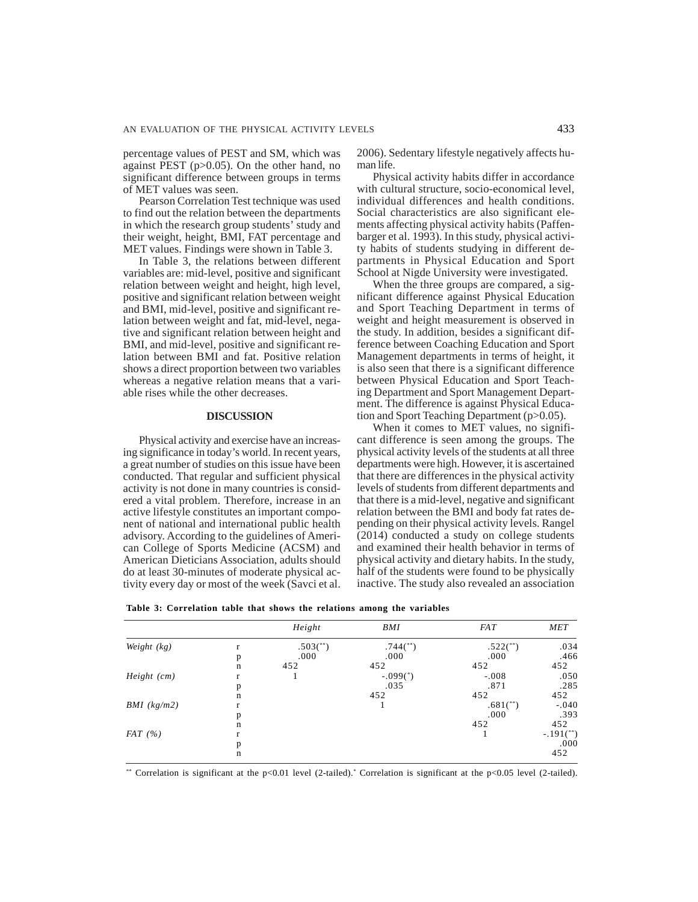percentage values of PEST and SM, which was against PEST (p>0.05). On the other hand, no significant difference between groups in terms of MET values was seen.

Pearson Correlation Test technique was used to find out the relation between the departments in which the research group students' study and their weight, height, BMI, FAT percentage and MET values. Findings were shown in Table 3.

In Table 3, the relations between different variables are: mid-level, positive and significant relation between weight and height, high level, positive and significant relation between weight and BMI, mid-level, positive and significant relation between weight and fat, mid-level, negative and significant relation between height and BMI, and mid-level, positive and significant relation between BMI and fat. Positive relation shows a direct proportion between two variables whereas a negative relation means that a variable rises while the other decreases.

#### **DISCUSSION**

Physical activity and exercise have an increasing significance in today's world. In recent years, a great number of studies on this issue have been conducted. That regular and sufficient physical activity is not done in many countries is considered a vital problem. Therefore, increase in an active lifestyle constitutes an important component of national and international public health advisory. According to the guidelines of American College of Sports Medicine (ACSM) and American Dieticians Association, adults should do at least 30-minutes of moderate physical activity every day or most of the week (Savci et al. 2006). Sedentary lifestyle negatively affects human life.

Physical activity habits differ in accordance with cultural structure, socio-economical level, individual differences and health conditions. Social characteristics are also significant elements affecting physical activity habits (Paffenbarger et al. 1993). In this study, physical activity habits of students studying in different departments in Physical Education and Sport School at Nigde University were investigated.

When the three groups are compared, a significant difference against Physical Education and Sport Teaching Department in terms of weight and height measurement is observed in the study. In addition, besides a significant difference between Coaching Education and Sport Management departments in terms of height, it is also seen that there is a significant difference between Physical Education and Sport Teaching Department and Sport Management Department. The difference is against Physical Education and Sport Teaching Department (p>0.05).

When it comes to MET values, no significant difference is seen among the groups. The physical activity levels of the students at all three departments were high. However, it is ascertained that there are differences in the physical activity levels of students from different departments and that there is a mid-level, negative and significant relation between the BMI and body fat rates depending on their physical activity levels. Rangel (2014) conducted a study on college students and examined their health behavior in terms of physical activity and dietary habits. In the study, half of the students were found to be physically inactive. The study also revealed an association

|  |  | RM |  |
|--|--|----|--|

**Table 3: Correlation table that shows the relations among the variables**

|               |             | Height                 | BMI                     | <b>FAT</b>             | <b>MET</b>              |
|---------------|-------------|------------------------|-------------------------|------------------------|-------------------------|
| Weight $(kg)$ | r           | $.503$ <sup>**</sup> ) | $.744$ <sup>**</sup> )  | $.522(^{**})$          | .034                    |
|               | p           | .000.                  | .000                    | .000                   | .466                    |
|               | $\mathbf n$ | 452                    | 452                     | 452                    | 452                     |
| Height (cm)   | r           |                        | $-.099($ <sup>*</sup> ) | $-.008$                | .050                    |
|               | p           | .035                   | .871                    | .285                   |                         |
|               | n           |                        | 452                     | 452                    | 452                     |
| BMI (kg/m2)   | r           |                        |                         | $.681$ <sup>**</sup> ) | $-.040$                 |
|               | p           |                        |                         | .000                   | .393                    |
|               | n           |                        |                         | 452                    | 452                     |
| FAT $(%$      | r           |                        |                         |                        | $-.191$ <sup>**</sup> ) |
|               | p           |                        |                         |                        | .000                    |
|               | n           |                        |                         |                        | 452                     |

\*\*\*\*\* Correlation is significant at the p<0.01 level (2-tailed).\*\* Correlation is significant at the p<0.05 level (2-tailed).\*\*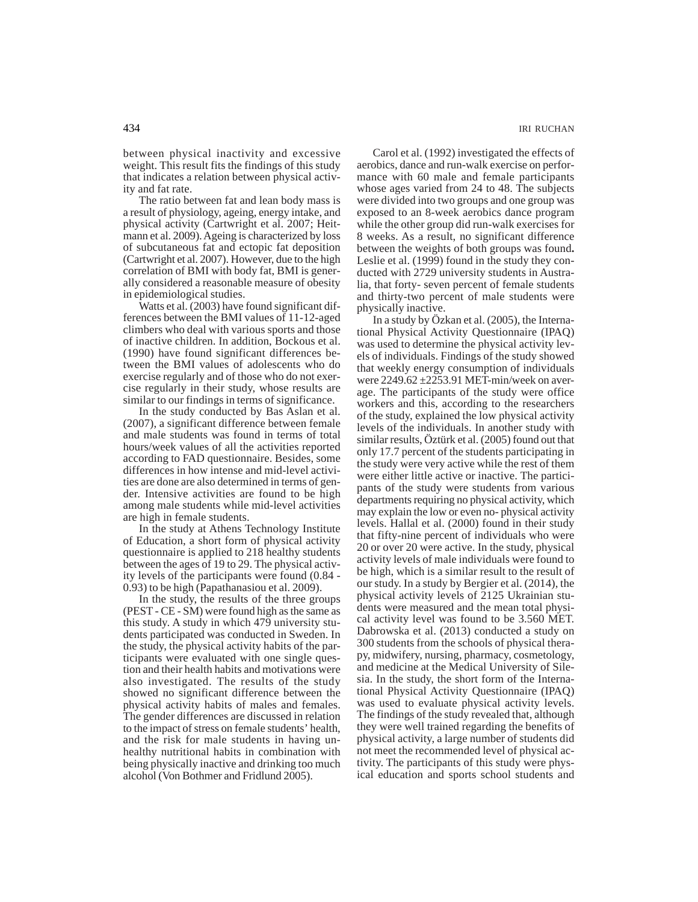between physical inactivity and excessive weight. This result fits the findings of this study that indicates a relation between physical activity and fat rate.

The ratio between fat and lean body mass is a result of physiology, ageing, energy intake, and physical activity (Cartwright et al. 2007; Heitmann et al. 2009). Ageing is characterized by loss of subcutaneous fat and ectopic fat deposition (Cartwright et al. 2007). However, due to the high correlation of BMI with body fat, BMI is generally considered a reasonable measure of obesity in epidemiological studies.

Watts et al. (2003) have found significant differences between the BMI values of 11-12-aged climbers who deal with various sports and those of inactive children. In addition, Bockous et al. (1990) have found significant differences between the BMI values of adolescents who do exercise regularly and of those who do not exercise regularly in their study, whose results are similar to our findings in terms of significance.

In the study conducted by Bas Aslan et al. (2007), a significant difference between female and male students was found in terms of total hours/week values of all the activities reported according to FAD questionnaire. Besides, some differences in how intense and mid-level activities are done are also determined in terms of gender. Intensive activities are found to be high among male students while mid-level activities are high in female students.

In the study at Athens Technology Institute of Education, a short form of physical activity questionnaire is applied to 218 healthy students between the ages of 19 to 29. The physical activity levels of the participants were found (0.84 - 0.93) to be high (Papathanasiou et al. 2009).

In the study, the results of the three groups (PEST - CE - SM) were found high as the same as this study. A study in which 479 university students participated was conducted in Sweden. In the study, the physical activity habits of the participants were evaluated with one single question and their health habits and motivations were also investigated. The results of the study showed no significant difference between the physical activity habits of males and females. The gender differences are discussed in relation to the impact of stress on female students' health, and the risk for male students in having unhealthy nutritional habits in combination with being physically inactive and drinking too much alcohol (Von Bothmer and Fridlund 2005).

Carol et al. (1992) investigated the effects of aerobics, dance and run-walk exercise on performance with 60 male and female participants whose ages varied from 24 to 48. The subjects were divided into two groups and one group was exposed to an 8-week aerobics dance program while the other group did run-walk exercises for 8 weeks. As a result, no significant difference between the weights of both groups was found**.** Leslie et al. (1999) found in the study they conducted with 2729 university students in Australia, that forty- seven percent of female students and thirty-two percent of male students were physically inactive.

In a study by Özkan et al. (2005), the International Physical Activity Questionnaire (IPAQ) was used to determine the physical activity levels of individuals. Findings of the study showed that weekly energy consumption of individuals were 2249.62 ±2253.91 MET-min/week on average. The participants of the study were office workers and this, according to the researchers of the study, explained the low physical activity levels of the individuals. In another study with similar results, Öztürk et al. (2005) found out that only 17.7 percent of the students participating in the study were very active while the rest of them were either little active or inactive. The participants of the study were students from various departments requiring no physical activity, which may explain the low or even no- physical activity levels. Hallal et al. (2000) found in their study that fifty-nine percent of individuals who were 20 or over 20 were active. In the study, physical activity levels of male individuals were found to be high, which is a similar result to the result of our study. In a study by Bergier et al. (2014), the physical activity levels of 2125 Ukrainian students were measured and the mean total physical activity level was found to be 3.560 MET. Dabrowska et al. (2013) conducted a study on 300 students from the schools of physical therapy, midwifery, nursing, pharmacy, cosmetology, and medicine at the Medical University of Silesia. In the study, the short form of the International Physical Activity Questionnaire (IPAQ) was used to evaluate physical activity levels. The findings of the study revealed that, although they were well trained regarding the benefits of physical activity, a large number of students did not meet the recommended level of physical activity. The participants of this study were physical education and sports school students and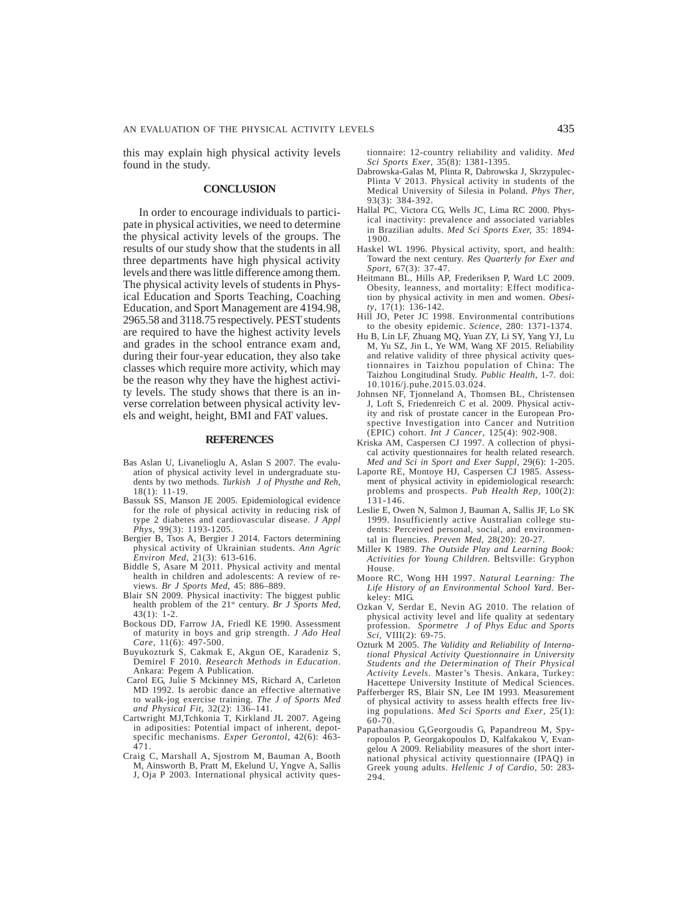this may explain high physical activity levels found in the study.

#### **CONCLUSION**

In order to encourage individuals to participate in physical activities, we need to determine the physical activity levels of the groups. The results of our study show that the students in all three departments have high physical activity levels and there was little difference among them. The physical activity levels of students in Physical Education and Sports Teaching, Coaching Education, and Sport Management are 4194.98, 2965.58 and 3118.75 respectively. PEST students are required to have the highest activity levels and grades in the school entrance exam and, during their four-year education, they also take classes which require more activity, which may be the reason why they have the highest activity levels. The study shows that there is an inverse correlation between physical activity levels and weight, height, BMI and FAT values.

#### **REFERENCES**

- Bas Aslan U, Livanelioglu A, Aslan S 2007. The evaluation of physical activity level in undergraduate students by two methods. *Turkish J of Physthe and Reh*, 18(1): 11-19.
- Bassuk SS, Manson JE 2005. Epidemiological evidence for the role of physical activity in reducing risk of type 2 diabetes and cardiovascular disease. *J Appl Phys*, 99(3): 1193-1205.
- Bergier B, Tsos A, Bergier J 2014. Factors determining physical activity of Ukrainian students. *Ann Agric Environ Med*, 21(3): 613-616.
- Biddle S, Asare M 2011. Physical activity and mental health in children and adolescents: A review of reviews. *Br J Sports Med*, 45: 886–889.
- Blair SN 2009. Physical inactivity: The biggest public health problem of the 21<sup>st</sup> century. *Br J Sports Med*, 43(1): 1-2.
- Bockous DD, Farrow JA, Friedl KE 1990. Assessment of maturity in boys and grip strength. *J Ado Heal Care,* 11(6): 497-500.
- Buyukozturk S, Cakmak E, Akgun OE, Karadeniz S, Demirel F 2010. *Research Methods in Education*. Ankara: Pegem A Publication.
- Carol EG, Julie S Mckinney MS, Richard A, Carleton MD 1992. Is aerobic dance an effective alternative to walk-jog exercise training. *The J of Sports Med and Physical Fit,* 32(2): 136–141.
- Cartwright MJ,Tchkonia T, Kirkland JL 2007. Ageing in adiposities: Potential impact of inherent, depotspecific mechanisms. *Exper Gerontol,* 42(6): 463- 471.
- Craig C, Marshall A, Sjostrom M, Bauman A, Booth M, Ainsworth B, Pratt M, Ekelund U, Yngve A, Sallis J, Oja P 2003. International physical activity ques-

tionnaire: 12-country reliability and validity*. Med Sci Sports Exer*, 35(8): 1381-1395.

- Dabrowska-Galas M, Plinta R, Dabrowska J, Skrzypulec-Plinta V 2013. Physical activity in students of the Medical University of Silesia in Poland. *Phys Ther*, 93(3): 384-392.
- Hallal PC, Victora CG, Wells JC, Lima RC 2000. Physical inactivity: prevalence and associated variables in Brazilian adults. *Med Sci Sports Exer,* 35: 1894- 1900.
- Haskel WL 1996. Physical activity, sport, and health: Toward the next century. *Res Quarterly for Exer and Sport*, 67(3): 37-47.
- Heitmann BL, Hills AP, Frederiksen P, Ward LC 2009. Obesity, leanness, and mortality: Effect modification by physical activity in men and women. *Obesity*, 17(1): 136-142.
- Hill JO, Peter JC 1998. Environmental contributions to the obesity epidemic. *Science,* 280: 1371-1374.
- Hu B, Lin LF, Zhuang MQ, Yuan ZY, Li SY, Yang YJ, Lu M, Yu SZ, Jin L, Ye WM, Wang XF 2015. Reliability and relative validity of three physical activity questionnaires in Taizhou population of China: The Taizhou Longitudinal Study. *Public Health*, 1-7. doi: 10.1016/j.puhe.2015.03.024.
- Johnsen NF, Tjonneland A, Thomsen BL, Christensen J, Loft S, Friedenreich C et al. 2009. Physical activity and risk of prostate cancer in the European Prospective Investigation into Cancer and Nutrition (EPIC) cohort. *Int J Cancer*, 125(4): 902-908.
- Kriska AM, Caspersen CJ 1997. A collection of physical activity questionnaires for health related research. *Med and Sci in Sport and Exer Suppl,* 29(6): 1-205.
- Laporte RE, Montoye HJ, Caspersen CJ 1985. Assessment of physical activity in epidemiological research: problems and prospects. *Pub Health Rep,* 100(2): 131-146.
- Leslie E, Owen N, Salmon J, Bauman A, Sallis JF, Lo SK 1999. Insufficiently active Australian college students: Perceived personal, social, and environmental in fluencies. *Preven Med*, 28(20): 20-27.
- Miller K 1989. *The Outside Play and Learning Book: Activities for Young Children*. Beltsville: Gryphon House.
- Moore RC, Wong HH 1997. *Natural Learning: The Life History of an Environmental School Yard*. Berkeley: MIG.
- Ozkan V, Serdar E, Nevin AG 2010. The relation of physical activity level and life quality at sedentary profession. *Spormetre J of Phys Educ and Sports Sci,* VIII(2): 69-75.
- Ozturk M 2005. *The Validity and Reliability of International Physical Activity Questionnaire in University Students and the Determination of Their Physical Activity Levels.* Master's Thesis. Ankara, Turkey: Hacettepe University Institute of Medical Sciences.
- Pafferberger RS, Blair SN, Lee IM 1993. Measurement of physical activity to assess health effects free living populations. *Med Sci Sports and Exer*, 25(1):  $60 - 70$ .
- Papathanasiou G,Georgoudis G, Papandreou M, Spyropoulos P, Georgakopoulos D, Kalfakakou V, Evangelou A 2009. Reliability measures of the short international physical activity questionnaire (IPAQ) in Greek young adults. *Hellenic J of Cardio*, 50: 283- 294.